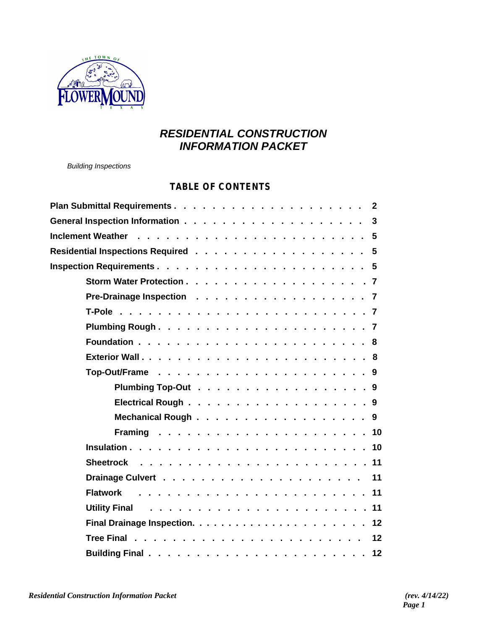

# *RESIDENTIAL CONSTRUCTION INFORMATION PACKET*

 *Building Inspections*

# *TABLE OF CONTENTS*

| Plumbing Top-Out 9   |    |
|----------------------|----|
|                      |    |
| Mechanical Rough 9   |    |
|                      |    |
|                      |    |
|                      |    |
|                      | 11 |
|                      |    |
| <b>Utility Final</b> |    |
|                      |    |
|                      |    |
|                      | 12 |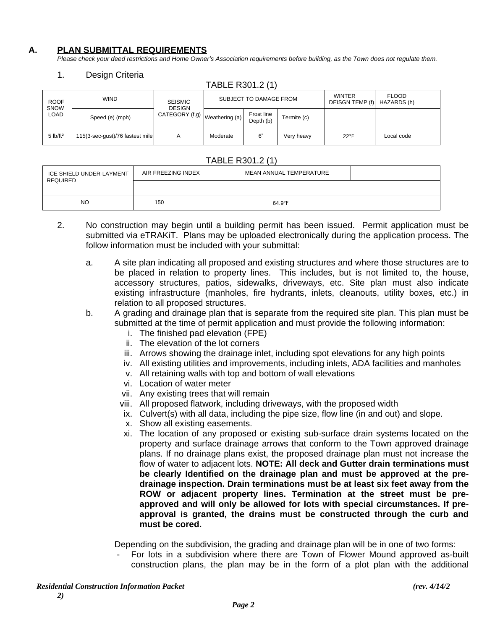#### **A. PLAN SUBMITTAL REQUIREMENTS**

*Please check your deed restrictions and Home Owner's Association requirements before building, as the Town does not regulate them.*

#### 1. Design Criteria

| TABLE R301.2 (1)                          |                                 |                                         |                        |                         |             |                                  |                             |  |  |  |
|-------------------------------------------|---------------------------------|-----------------------------------------|------------------------|-------------------------|-------------|----------------------------------|-----------------------------|--|--|--|
| <b>ROOF</b><br><b>SNOW</b><br><b>LOAD</b> | <b>WIND</b>                     | <b>SEISMIC</b><br><b>DESIGN</b>         | SUBJECT TO DAMAGE FROM |                         |             | <b>WINTER</b><br>DEISGN TEMP (f) | <b>FLOOD</b><br>HAZARDS (h) |  |  |  |
|                                           | Speed (e) (mph)                 | CATEGORY $(f,g)$ Weathering (a) $\vert$ |                        | Frost line<br>Depth (b) | Termite (c) |                                  |                             |  |  |  |
| $5$ lb/ft <sup>2</sup>                    | 115(3-sec-gust)/76 fastest mile | A                                       | Moderate               | 6"                      | Very heavy  | $22^{\circ}$ F                   | Local code                  |  |  |  |

#### TABLE R301.2 (1)

| ICE SHIELD UNDER-LAYMENT | AIR FREEZING INDEX | MEAN ANNUAL TEMPERATURE |  |
|--------------------------|--------------------|-------------------------|--|
| REQUIRED                 |                    |                         |  |
| <b>NO</b>                | 150                | $64.9^{\circ}$ F        |  |

- 2. No construction may begin until a building permit has been issued. Permit application must be submitted via eTRAKiT. Plans may be uploaded electronically during the application process. The follow information must be included with your submittal:
	- a. A site plan indicating all proposed and existing structures and where those structures are to be placed in relation to property lines. This includes, but is not limited to, the house, accessory structures, patios, sidewalks, driveways, etc. Site plan must also indicate existing infrastructure (manholes, fire hydrants, inlets, cleanouts, utility boxes, etc.) in relation to all proposed structures.
	- b. A grading and drainage plan that is separate from the required site plan. This plan must be submitted at the time of permit application and must provide the following information:
		- i. The finished pad elevation (FPE)
		- ii. The elevation of the lot corners
		- iii. Arrows showing the drainage inlet, including spot elevations for any high points
		- iv. All existing utilities and improvements, including inlets, ADA facilities and manholes
			- v. All retaining walls with top and bottom of wall elevations
		- vi. Location of water meter
		- vii. Any existing trees that will remain
		- viii. All proposed flatwork, including driveways, with the proposed width
		- ix. Culvert(s) with all data, including the pipe size, flow line (in and out) and slope.
		- x. Show all existing easements.
		- xi. The location of any proposed or existing sub-surface drain systems located on the property and surface drainage arrows that conform to the Town approved drainage plans. If no drainage plans exist, the proposed drainage plan must not increase the flow of water to adjacent lots. **NOTE: All deck and Gutter drain terminations must be clearly Identified on the drainage plan and must be approved at the predrainage inspection. Drain terminations must be at least six feet away from the ROW or adjacent property lines. Termination at the street must be preapproved and will only be allowed for lots with special circumstances. If preapproval is granted, the drains must be constructed through the curb and must be cored.**

Depending on the subdivision, the grading and drainage plan will be in one of two forms:

For lots in a subdivision where there are Town of Flower Mound approved as-built construction plans, the plan may be in the form of a plot plan with the additional

*2)*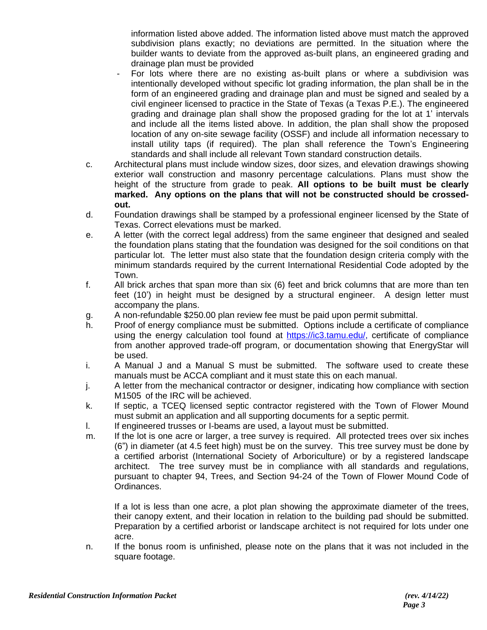information listed above added. The information listed above must match the approved subdivision plans exactly; no deviations are permitted. In the situation where the builder wants to deviate from the approved as-built plans, an engineered grading and drainage plan must be provided

- For lots where there are no existing as-built plans or where a subdivision was intentionally developed without specific lot grading information, the plan shall be in the form of an engineered grading and drainage plan and must be signed and sealed by a civil engineer licensed to practice in the State of Texas (a Texas P.E.). The engineered grading and drainage plan shall show the proposed grading for the lot at 1' intervals and include all the items listed above. In addition, the plan shall show the proposed location of any on-site sewage facility (OSSF) and include all information necessary to install utility taps (if required). The plan shall reference the Town's Engineering standards and shall include all relevant Town standard construction details.
- c. Architectural plans must include window sizes, door sizes, and elevation drawings showing exterior wall construction and masonry percentage calculations. Plans must show the height of the structure from grade to peak. **All options to be built must be clearly marked. Any options on the plans that will not be constructed should be crossedout.**
- d. Foundation drawings shall be stamped by a professional engineer licensed by the State of Texas. Correct elevations must be marked.
- e. A letter (with the correct legal address) from the same engineer that designed and sealed the foundation plans stating that the foundation was designed for the soil conditions on that particular lot. The letter must also state that the foundation design criteria comply with the minimum standards required by the current International Residential Code adopted by the Town.
- f. All brick arches that span more than six (6) feet and brick columns that are more than ten feet (10') in height must be designed by a structural engineer. A design letter must accompany the plans.
- g. A non-refundable \$250.00 plan review fee must be paid upon permit submittal.
- h. Proof of energy compliance must be submitted. Options include a certificate of compliance using the energy calculation tool found at [https://ic3.tamu.edu/,](https://ic3.tamu.edu/) certificate of compliance from another approved trade-off program, or documentation showing that EnergyStar will be used.
- i. A Manual J and a Manual S must be submitted. The software used to create these manuals must be ACCA compliant and it must state this on each manual.
- j. A letter from the mechanical contractor or designer, indicating how compliance with section M1505 of the IRC will be achieved.
- k. If septic, a TCEQ licensed septic contractor registered with the Town of Flower Mound must submit an application and all supporting documents for a septic permit.
- l. If engineered trusses or I-beams are used, a layout must be submitted.
- m. If the lot is one acre or larger, a tree survey is required. All protected trees over six inches (6") in diameter (at 4.5 feet high) must be on the survey. This tree survey must be done by a certified arborist (International Society of Arboriculture) or by a registered landscape architect. The tree survey must be in compliance with all standards and regulations, pursuant to chapter 94, Trees, and Section 94-24 of the Town of Flower Mound Code of Ordinances.

If a lot is less than one acre, a plot plan showing the approximate diameter of the trees, their canopy extent, and their location in relation to the building pad should be submitted. Preparation by a certified arborist or landscape architect is not required for lots under one acre.

n. If the bonus room is unfinished, please note on the plans that it was not included in the square footage.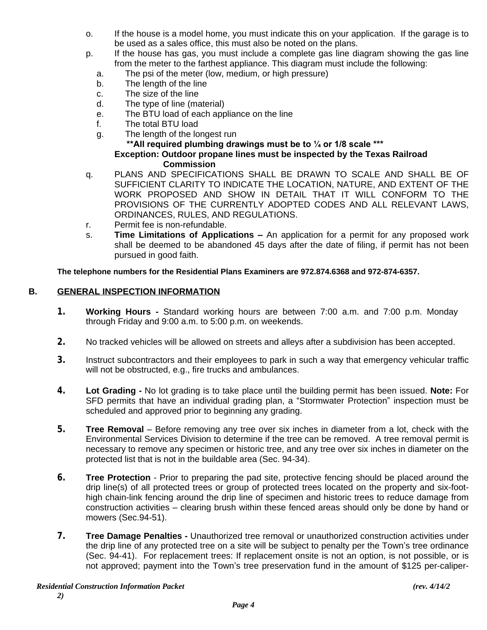- o. If the house is a model home, you must indicate this on your application. If the garage is to be used as a sales office, this must also be noted on the plans.
- p. If the house has gas, you must include a complete gas line diagram showing the gas line from the meter to the farthest appliance. This diagram must include the following:
	- a. The psi of the meter (low, medium, or high pressure)
	- b. The length of the line
	- c. The size of the line
	- d. The type of line (material)
	- e. The BTU load of each appliance on the line
	- f. The total BTU load
	- g. The length of the longest run

 **\*\*All required plumbing drawings must be to ¼ or 1/8 scale \*\*\* Exception: Outdoor propane lines must be inspected by the Texas Railroad**

 **Commission**

- q. PLANS AND SPECIFICATIONS SHALL BE DRAWN TO SCALE AND SHALL BE OF SUFFICIENT CLARITY TO INDICATE THE LOCATION, NATURE, AND EXTENT OF THE WORK PROPOSED AND SHOW IN DETAIL THAT IT WILL CONFORM TO THE PROVISIONS OF THE CURRENTLY ADOPTED CODES AND ALL RELEVANT LAWS, ORDINANCES, RULES, AND REGULATIONS.
- r. Permit fee is non-refundable.
- s. **Time Limitations of Applications –** An application for a permit for any proposed work shall be deemed to be abandoned 45 days after the date of filing, if permit has not been pursued in good faith.

**The telephone numbers for the Residential Plans Examiners are 972.874.6368 and 972-874-6357.**

# **B. GENERAL INSPECTION INFORMATION**

- **1. Working Hours -** Standard working hours are between 7:00 a.m. and 7:00 p.m. Monday through Friday and 9:00 a.m. to 5:00 p.m. on weekends.
- **2.** No tracked vehicles will be allowed on streets and alleys after a subdivision has been accepted.
- **3.** Instruct subcontractors and their employees to park in such a way that emergency vehicular traffic will not be obstructed, e.g., fire trucks and ambulances.
- **4. Lot Grading -** No lot grading is to take place until the building permit has been issued. **Note:** For SFD permits that have an individual grading plan, a "Stormwater Protection" inspection must be scheduled and approved prior to beginning any grading.
- **5. Tree Removal** Before removing any tree over six inches in diameter from a lot, check with the Environmental Services Division to determine if the tree can be removed. A tree removal permit is necessary to remove any specimen or historic tree, and any tree over six inches in diameter on the protected list that is not in the buildable area (Sec. 94-34).
- **6. Tree Protection** Prior to preparing the pad site, protective fencing should be placed around the drip line(s) of all protected trees or group of protected trees located on the property and six-foothigh chain-link fencing around the drip line of specimen and historic trees to reduce damage from construction activities – clearing brush within these fenced areas should only be done by hand or mowers (Sec.94-51).
- **7. Tree Damage Penalties -** Unauthorized tree removal or unauthorized construction activities under the drip line of any protected tree on a site will be subject to penalty per the Town's tree ordinance (Sec. 94-41). For replacement trees: If replacement onsite is not an option, is not possible, or is not approved; payment into the Town's tree preservation fund in the amount of \$125 per-caliper-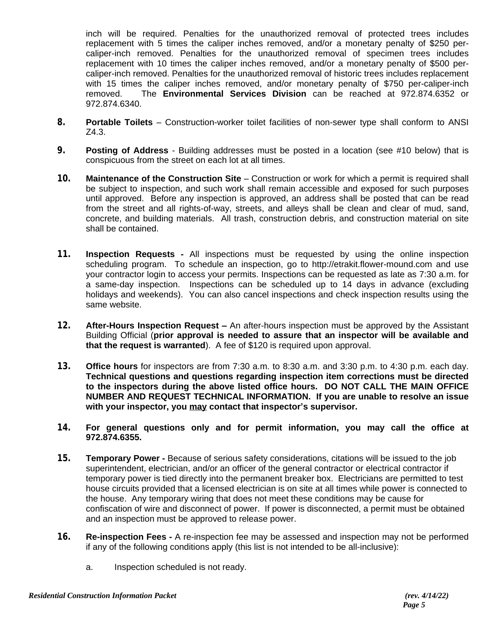inch will be required. Penalties for the unauthorized removal of protected trees includes replacement with 5 times the caliper inches removed, and/or a monetary penalty of \$250 percaliper-inch removed. Penalties for the unauthorized removal of specimen trees includes replacement with 10 times the caliper inches removed, and/or a monetary penalty of \$500 percaliper-inch removed. Penalties for the unauthorized removal of historic trees includes replacement with 15 times the caliper inches removed, and/or monetary penalty of \$750 per-caliper-inch removed. The **Environmental Services Division** can be reached at 972.874.6352 or 972.874.6340.

- **8. Portable Toilets** Construction-worker toilet facilities of non-sewer type shall conform to ANSI Z4.3.
- **9. Posting of Address** Building addresses must be posted in a location (see #10 below) that is conspicuous from the street on each lot at all times.
- **10. Maintenance of the Construction Site** Construction or work for which a permit is required shall be subject to inspection, and such work shall remain accessible and exposed for such purposes until approved. Before any inspection is approved, an address shall be posted that can be read from the street and all rights-of-way, streets, and alleys shall be clean and clear of mud, sand, concrete, and building materials. All trash, construction debris, and construction material on site shall be contained.
- **11. Inspection Requests -** All inspections must be requested by using the online inspection scheduling program. To schedule an inspection, go to http://etrakit.flower-mound.com and use your contractor login to access your permits. Inspections can be requested as late as 7:30 a.m. for a same-day inspection. Inspections can be scheduled up to 14 days in advance (excluding holidays and weekends). You can also cancel inspections and check inspection results using the same website.
- **12. After-Hours Inspection Request –** An after-hours inspection must be approved by the Assistant Building Official (**prior approval is needed to assure that an inspector will be available and that the request is warranted**). A fee of \$120 is required upon approval.
- **13. Office hours** for inspectors are from 7:30 a.m. to 8:30 a.m. and 3:30 p.m. to 4:30 p.m. each day. **Technical questions and questions regarding inspection item corrections must be directed to the inspectors during the above listed office hours. DO NOT CALL THE MAIN OFFICE NUMBER AND REQUEST TECHNICAL INFORMATION. If you are unable to resolve an issue with your inspector, you may contact that inspector's supervisor.**
- **14. For general questions only and for permit information, you may call the office at 972.874.6355.**
- **15. Temporary Power** Because of serious safety considerations, citations will be issued to the job superintendent, electrician, and/or an officer of the general contractor or electrical contractor if temporary power is tied directly into the permanent breaker box. Electricians are permitted to test house circuits provided that a licensed electrician is on site at all times while power is connected to the house. Any temporary wiring that does not meet these conditions may be cause for confiscation of wire and disconnect of power. If power is disconnected, a permit must be obtained and an inspection must be approved to release power.
- **16. Re-inspection Fees -** A re-inspection fee may be assessed and inspection may not be performed if any of the following conditions apply (this list is not intended to be all-inclusive):
	- a. Inspection scheduled is not ready.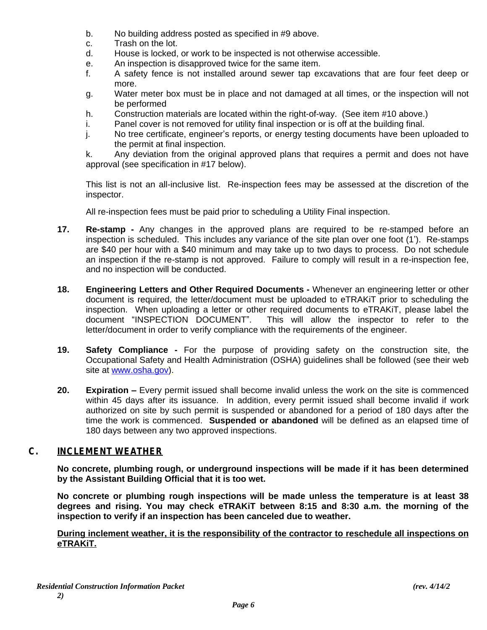- b. No building address posted as specified in #9 above.
- c. Trash on the lot.
- d. House is locked, or work to be inspected is not otherwise accessible.
- e. An inspection is disapproved twice for the same item.
- f. A safety fence is not installed around sewer tap excavations that are four feet deep or more.
- g. Water meter box must be in place and not damaged at all times, or the inspection will not be performed
- h. Construction materials are located within the right-of-way. (See item #10 above.)
- i. Panel cover is not removed for utility final inspection or is off at the building final.
- j. No tree certificate, engineer's reports, or energy testing documents have been uploaded to the permit at final inspection.

k. Any deviation from the original approved plans that requires a permit and does not have approval (see specification in #17 below).

This list is not an all-inclusive list. Re-inspection fees may be assessed at the discretion of the inspector.

All re-inspection fees must be paid prior to scheduling a Utility Final inspection.

- **17. Re-stamp -** Any changes in the approved plans are required to be re-stamped before an inspection is scheduled. This includes any variance of the site plan over one foot (1'). Re-stamps are \$40 per hour with a \$40 minimum and may take up to two days to process. Do not schedule an inspection if the re-stamp is not approved. Failure to comply will result in a re-inspection fee, and no inspection will be conducted.
- **18. Engineering Letters and Other Required Documents -** Whenever an engineering letter or other document is required, the letter/document must be uploaded to eTRAKiT prior to scheduling the inspection. When uploading a letter or other required documents to eTRAKiT, please label the document "INSPECTION DOCUMENT". This will allow the inspector to refer to the letter/document in order to verify compliance with the requirements of the engineer.
- **19. Safety Compliance -** For the purpose of providing safety on the construction site, the Occupational Safety and Health Administration (OSHA) guidelines shall be followed (see their web site at [www.osha.gov\).](http://www.osha.gov)
- **[20.](http://www.osha.gov) [Expiration](http://www.osha.gov) –** Every permit issued shall [become](http://www.osha.gov) invalid unless the work on the site is [commenced](http://www.osha.gov) within 45 days after its [issuance.](http://www.osha.gov) In addition, every permit issued shall become invalid if [work](http://www.osha.gov) [authorized](http://www.osha.gov) on site by such permit is suspended or [abandoned](http://www.osha.gov) for a period of 180 days after the time the work is [commenced.](http://www.osha.gov) **[Suspended](http://www.osha.gov) or abandoned** will be defined as an [elapsed](http://www.osha.gov) [time](http://www.osha.gov) of [180 days between any two approved inspections.](http://www.osha.gov)

# **[C.](http://www.osha.gov) [INCLEMENT WEATHER](http://www.osha.gov)**

**No concrete, [plumbing](http://www.osha.gov) [rough,](http://www.osha.gov) or [underground](http://www.osha.gov) inspections will be made if it has been determined [by the Assistant Building Official that it is too wet.](http://www.osha.gov)**

**No concrete or plumbing rough inspections will be made unless the [temperature](http://www.osha.gov) is at least 38 [degrees](http://www.osha.gov) and [rising.](http://www.osha.gov) You may check [eTRAKiT](http://www.osha.gov) between [8:15](http://www.osha.gov) [and](http://www.osha.gov) [8:30](http://www.osha.gov) a.m. the [morning](http://www.osha.gov) of the [inspection to verify if an inspection has been canceled due to weather.](http://www.osha.gov)**

**[During inclement weather, it is the responsibility of the contractor to reschedule all inspections on](http://www.osha.gov) [eTRAKiT.](http://www.osha.gov)**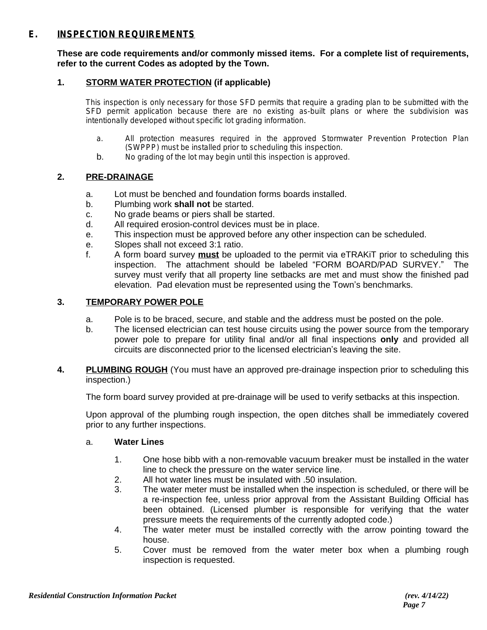# **E. INSPECTION REQUIREMENTS**

**These are code requirements and/or commonly missed items. For a complete list of requirements, refer to the current Codes as adopted by the Town.**

## **1. STORM WATER PROTECTION (if applicable)**

This inspection is only necessary for those SFD permits that require a grading plan to be submitted with the SFD permit application because there are no existing as-built plans or where the subdivision was intentionally developed without specific lot grading information.

- a. All protection measures required in the approved Stormwater Prevention Protection Plan (SWPPP) must be installed prior to scheduling this inspection.
- b. No grading of the lot may begin until this inspection is approved.

#### **2. PRE-DRAINAGE**

- a. Lot must be benched and foundation forms boards installed.
- b. Plumbing work **shall not** be started.
- c. No grade beams or piers shall be started.
- d. All required erosion-control devices must be in place.
- e. This inspection must be approved before any other inspection can be scheduled.
- e. Slopes shall not exceed 3:1 ratio.
- f. A form board survey **must** be uploaded to the permit via eTRAKiT prior to scheduling this inspection. The attachment should be labeled "FORM BOARD/PAD SURVEY." The survey must verify that all property line setbacks are met and must show the finished pad elevation. Pad elevation must be represented using the Town's benchmarks.

## **3. TEMPORARY POWER POLE**

- a. Pole is to be braced, secure, and stable and the address must be posted on the pole.
- b. The licensed electrician can test house circuits using the power source from the temporary power pole to prepare for utility final and/or all final inspections **only** and provided all circuits are disconnected prior to the licensed electrician's leaving the site.
- **4. PLUMBING ROUGH** (You must have an approved pre-drainage inspection prior to scheduling this inspection.)

The form board survey provided at pre-drainage will be used to verify setbacks at this inspection.

Upon approval of the plumbing rough inspection, the open ditches shall be immediately covered prior to any further inspections.

### a. **Water Lines**

- 1. One hose bibb with a non-removable vacuum breaker must be installed in the water line to check the pressure on the water service line.
- 2. All hot water lines must be insulated with .50 insulation.
- 3. The water meter must be installed when the inspection is scheduled, or there will be a re-inspection fee, unless prior approval from the Assistant Building Official has been obtained. (Licensed plumber is responsible for verifying that the water pressure meets the requirements of the currently adopted code.)
- 4. The water meter must be installed correctly with the arrow pointing toward the house.
- 5. Cover must be removed from the water meter box when a plumbing rough inspection is requested.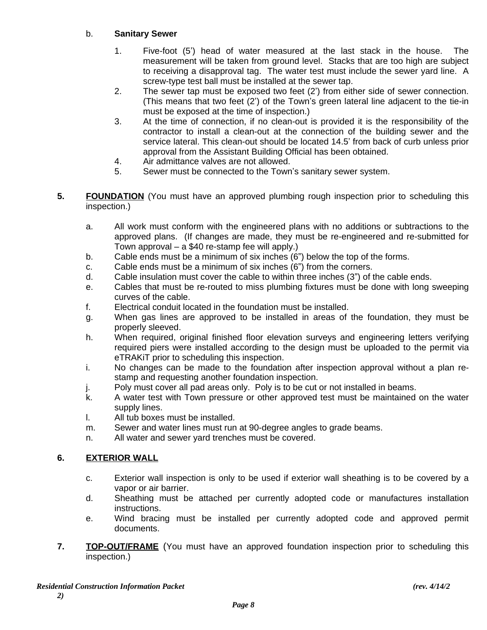## b. **Sanitary Sewer**

- 1. Five-foot (5') head of water measured at the last stack in the house. The measurement will be taken from ground level. Stacks that are too high are subject to receiving a disapproval tag. The water test must include the sewer yard line. A screw-type test ball must be installed at the sewer tap.
- 2. The sewer tap must be exposed two feet (2') from either side of sewer connection. (This means that two feet (2') of the Town's green lateral line adjacent to the tie-in must be exposed at the time of inspection.)
- 3. At the time of connection, if no clean-out is provided it is the responsibility of the contractor to install a clean-out at the connection of the building sewer and the service lateral. This clean-out should be located 14.5' from back of curb unless prior approval from the Assistant Building Official has been obtained.
- 4. Air admittance valves are not allowed.
- 5. Sewer must be connected to the Town's sanitary sewer system.
- **5. FOUNDATION** (You must have an approved plumbing rough inspection prior to scheduling this inspection.)
	- a. All work must conform with the engineered plans with no additions or subtractions to the approved plans. (If changes are made, they must be re-engineered and re-submitted for Town approval – a \$40 re-stamp fee will apply.)
	- b. Cable ends must be a minimum of six inches (6") below the top of the forms.
	- c. Cable ends must be a minimum of six inches (6") from the corners.
	- d. Cable insulation must cover the cable to within three inches (3") of the cable ends.
	- e. Cables that must be re-routed to miss plumbing fixtures must be done with long sweeping curves of the cable.
	- f. Electrical conduit located in the foundation must be installed.
	- g. When gas lines are approved to be installed in areas of the foundation, they must be properly sleeved.
	- h. When required, original finished floor elevation surveys and engineering letters verifying required piers were installed according to the design must be uploaded to the permit via eTRAKiT prior to scheduling this inspection.
	- i. No changes can be made to the foundation after inspection approval without a plan restamp and requesting another foundation inspection.
	- j. Poly must cover all pad areas only. Poly is to be cut or not installed in beams.
	- k. A water test with Town pressure or other approved test must be maintained on the water supply lines.
	- l. All tub boxes must be installed.
	- m. Sewer and water lines must run at 90-degree angles to grade beams.
	- n. All water and sewer yard trenches must be covered.

# **6. EXTERIOR WALL**

- c. Exterior wall inspection is only to be used if exterior wall sheathing is to be covered by a vapor or air barrier.
- d. Sheathing must be attached per currently adopted code or manufactures installation instructions.
- e. Wind bracing must be installed per currently adopted code and approved permit documents.
- **7. TOP-OUT/FRAME** (You must have an approved foundation inspection prior to scheduling this inspection.)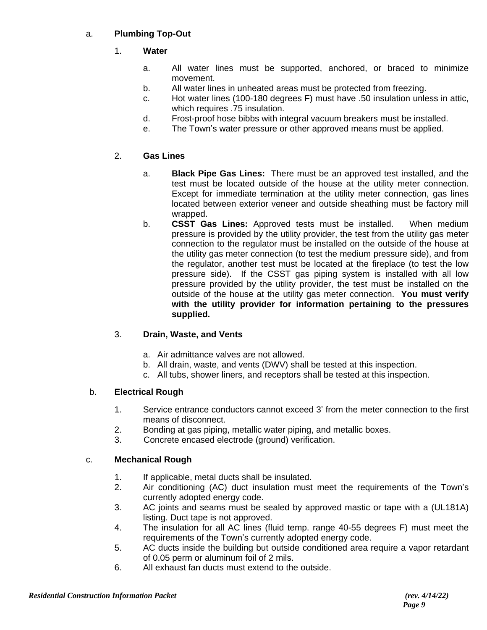## a. **Plumbing Top-Out**

- 1. **Water**
	- a. All water lines must be supported, anchored, or braced to minimize movement.
	- b. All water lines in unheated areas must be protected from freezing.
	- c. Hot water lines (100-180 degrees F) must have .50 insulation unless in attic, which requires .75 insulation.
	- d. Frost-proof hose bibbs with integral vacuum breakers must be installed.
	- e. The Town's water pressure or other approved means must be applied.

## 2. **Gas Lines**

- a. **Black Pipe Gas Lines:** There must be an approved test installed, and the test must be located outside of the house at the utility meter connection. Except for immediate termination at the utility meter connection, gas lines located between exterior veneer and outside sheathing must be factory mill wrapped.
- b. **CSST Gas Lines:** Approved tests must be installed. When medium pressure is provided by the utility provider, the test from the utility gas meter connection to the regulator must be installed on the outside of the house at the utility gas meter connection (to test the medium pressure side), and from the regulator, another test must be located at the fireplace (to test the low pressure side). If the CSST gas piping system is installed with all low pressure provided by the utility provider, the test must be installed on the outside of the house at the utility gas meter connection. **You must verify with the utility provider for information pertaining to the pressures supplied.**

#### 3. **Drain, Waste, and Vents**

- a. Air admittance valves are not allowed.
- b. All drain, waste, and vents (DWV) shall be tested at this inspection.
- c. All tubs, shower liners, and receptors shall be tested at this inspection.

#### b. **Electrical Rough**

- 1. Service entrance conductors cannot exceed 3' from the meter connection to the first means of disconnect.
- 2. Bonding at gas piping, metallic water piping, and metallic boxes.
- 3. Concrete encased electrode (ground) verification.

#### c. **Mechanical Rough**

- 1. If applicable, metal ducts shall be insulated.
- 2. Air conditioning (AC) duct insulation must meet the requirements of the Town's currently adopted energy code.
- 3. AC joints and seams must be sealed by approved mastic or tape with a (UL181A) listing. Duct tape is not approved.
- 4. The insulation for all AC lines (fluid temp. range 40-55 degrees F) must meet the requirements of the Town's currently adopted energy code.
- 5. AC ducts inside the building but outside conditioned area require a vapor retardant of 0.05 perm or aluminum foil of 2 mils.
- 6. All exhaust fan ducts must extend to the outside.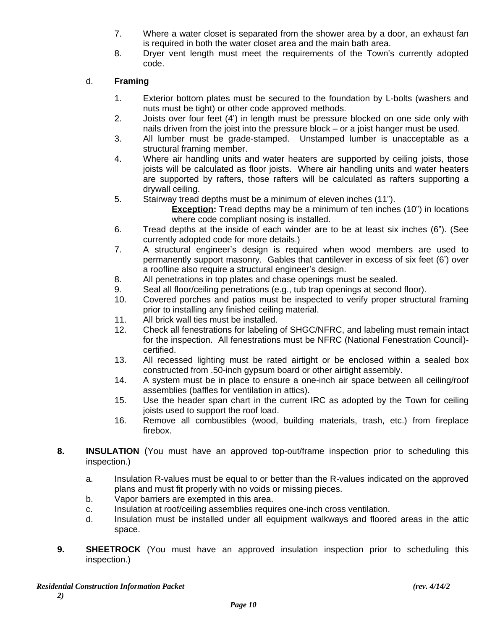- 7. Where a water closet is separated from the shower area by a door, an exhaust fan is required in both the water closet area and the main bath area.
- 8. Dryer vent length must meet the requirements of the Town's currently adopted code.

# d. **Framing**

- 1. Exterior bottom plates must be secured to the foundation by L-bolts (washers and nuts must be tight) or other code approved methods.
- 2. Joists over four feet (4') in length must be pressure blocked on one side only with nails driven from the joist into the pressure block – or a joist hanger must be used.
- 3. All lumber must be grade-stamped. Unstamped lumber is unacceptable as a structural framing member.
- 4. Where air handling units and water heaters are supported by ceiling joists, those joists will be calculated as floor joists. Where air handling units and water heaters are supported by rafters, those rafters will be calculated as rafters supporting a drywall ceiling.
- 5. Stairway tread depths must be a minimum of eleven inches (11").

**Exception:** Tread depths may be a minimum of ten inches (10") in locations where code compliant nosing is installed.

- 6. Tread depths at the inside of each winder are to be at least six inches (6"). (See currently adopted code for more details.)
- 7. A structural engineer's design is required when wood members are used to permanently support masonry. Gables that cantilever in excess of six feet (6') over a roofline also require a structural engineer's design.
- 8. All penetrations in top plates and chase openings must be sealed.
- 9. Seal all floor/ceiling penetrations (e.g., tub trap openings at second floor).
- 10. Covered porches and patios must be inspected to verify proper structural framing prior to installing any finished ceiling material.
- 11. All brick wall ties must be installed.
- 12. Check all fenestrations for labeling of SHGC/NFRC, and labeling must remain intact for the inspection. All fenestrations must be NFRC (National Fenestration Council) certified.
- 13. All recessed lighting must be rated airtight or be enclosed within a sealed box constructed from .50-inch gypsum board or other airtight assembly.
- 14. A system must be in place to ensure a one-inch air space between all ceiling/roof assemblies (baffles for ventilation in attics).
- 15. Use the header span chart in the current IRC as adopted by the Town for ceiling joists used to support the roof load.
- 16. Remove all combustibles (wood, building materials, trash, etc.) from fireplace firebox.
- **8. INSULATION** (You must have an approved top-out/frame inspection prior to scheduling this inspection.)
	- a. Insulation R-values must be equal to or better than the R-values indicated on the approved plans and must fit properly with no voids or missing pieces.
	- b. Vapor barriers are exempted in this area.
	- c. Insulation at roof/ceiling assemblies requires one-inch cross ventilation.
	- d. Insulation must be installed under all equipment walkways and floored areas in the attic space.
- **9. SHEETROCK** (You must have an approved insulation inspection prior to scheduling this inspection.)

*2)*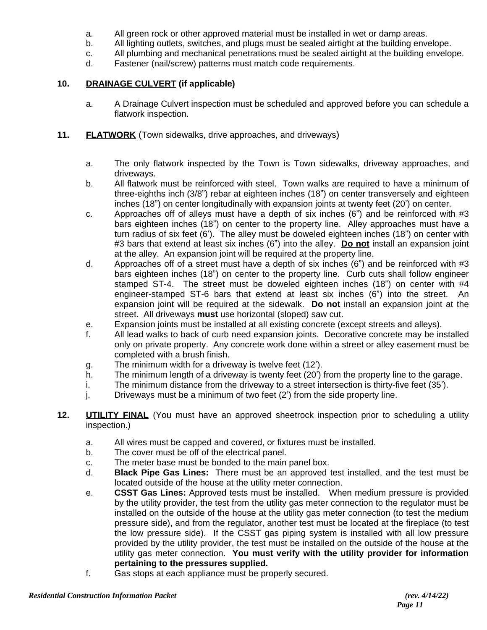- a. All green rock or other approved material must be installed in wet or damp areas.
- b. All lighting outlets, switches, and plugs must be sealed airtight at the building envelope.
- c. All plumbing and mechanical penetrations must be sealed airtight at the building envelope.
- d. Fastener (nail/screw) patterns must match code requirements.

## **10. DRAINAGE CULVERT (if applicable)**

- a. A Drainage Culvert inspection must be scheduled and approved before you can schedule a flatwork inspection.
- **11. FLATWORK** (Town sidewalks, drive approaches, and driveways)
	- a. The only flatwork inspected by the Town is Town sidewalks, driveway approaches, and driveways.
	- b. All flatwork must be reinforced with steel. Town walks are required to have a minimum of three-eighths inch (3/8") rebar at eighteen inches (18") on center transversely and eighteen inches (18") on center longitudinally with expansion joints at twenty feet (20') on center.
	- c. Approaches off of alleys must have a depth of six inches (6") and be reinforced with #3 bars eighteen inches (18") on center to the property line. Alley approaches must have a turn radius of six feet (6'). The alley must be doweled eighteen inches (18") on center with #3 bars that extend at least six inches (6") into the alley. **Do not** install an expansion joint at the alley. An expansion joint will be required at the property line.
	- d. Approaches off of a street must have a depth of six inches (6") and be reinforced with #3 bars eighteen inches (18") on center to the property line. Curb cuts shall follow engineer stamped ST-4. The street must be doweled eighteen inches (18") on center with #4 engineer-stamped ST-6 bars that extend at least six inches (6") into the street. An expansion joint will be required at the sidewalk. **Do not** install an expansion joint at the street. All driveways **must** use horizontal (sloped) saw cut.
	- e. Expansion joints must be installed at all existing concrete (except streets and alleys).
	- f. All lead walks to back of curb need expansion joints. Decorative concrete may be installed only on private property. Any concrete work done within a street or alley easement must be completed with a brush finish.
	- g. The minimum width for a driveway is twelve feet (12').
	- h. The minimum length of a driveway is twenty feet (20') from the property line to the garage.
	- i. The minimum distance from the driveway to a street intersection is thirty-five feet (35').
	- j. Driveways must be a minimum of two feet (2') from the side property line.
- **12. UTILITY FINAL** (You must have an approved sheetrock inspection prior to scheduling a utility inspection.)
	- a. All wires must be capped and covered, or fixtures must be installed.
	- b. The cover must be off of the electrical panel.
	- c. The meter base must be bonded to the main panel box.
	- d. **Black Pipe Gas Lines:** There must be an approved test installed, and the test must be located outside of the house at the utility meter connection.
	- e. **CSST Gas Lines:** Approved tests must be installed. When medium pressure is provided by the utility provider, the test from the utility gas meter connection to the regulator must be installed on the outside of the house at the utility gas meter connection (to test the medium pressure side), and from the regulator, another test must be located at the fireplace (to test the low pressure side). If the CSST gas piping system is installed with all low pressure provided by the utility provider, the test must be installed on the outside of the house at the utility gas meter connection. **You must verify with the utility provider for information pertaining to the pressures supplied.**
	- f. Gas stops at each appliance must be properly secured.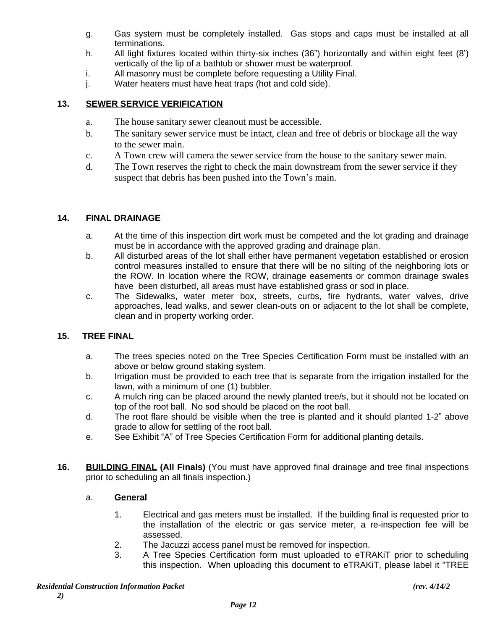- g. Gas system must be completely installed. Gas stops and caps must be installed at all terminations.
- h. All light fixtures located within thirty-six inches (36") horizontally and within eight feet (8') vertically of the lip of a bathtub or shower must be waterproof.
- i. All masonry must be complete before requesting a Utility Final.
- j. Water heaters must have heat traps (hot and cold side).

## **13. SEWER SERVICE VERIFICATION**

- a. The house sanitary sewer cleanout must be accessible.
- b. The sanitary sewer service must be intact, clean and free of debris or blockage all the way to the sewer main.
- c. A Town crew will camera the sewer service from the house to the sanitary sewer main.
- d. The Town reserves the right to check the main downstream from the sewer service if they suspect that debris has been pushed into the Town's main.

#### **14. FINAL DRAINAGE**

- a. At the time of this inspection dirt work must be competed and the lot grading and drainage must be in accordance with the approved grading and drainage plan.
- b. All disturbed areas of the lot shall either have permanent vegetation established or erosion control measures installed to ensure that there will be no silting of the neighboring lots or the ROW. In location where the ROW, drainage easements or common drainage swales have been disturbed, all areas must have established grass or sod in place.
- c. The Sidewalks, water meter box, streets, curbs, fire hydrants, water valves, drive approaches, lead walks, and sewer clean-outs on or adjacent to the lot shall be complete, clean and in property working order.

#### **15. TREE FINAL**

- a. The trees species noted on the Tree Species Certification Form must be installed with an above or below ground staking system.
- b. Irrigation must be provided to each tree that is separate from the irrigation installed for the lawn, with a minimum of one (1) bubbler.
- c. A mulch ring can be placed around the newly planted tree/s, but it should not be located on top of the root ball. No sod should be placed on the root ball.
- d. The root flare should be visible when the tree is planted and it should planted 1-2" above grade to allow for settling of the root ball.
- e. See Exhibit "A" of Tree Species Certification Form for additional planting details.
- **16. BUILDING FINAL (All Finals)** (You must have approved final drainage and tree final inspections prior to scheduling an all finals inspection.)

#### a. **General**

- 1. Electrical and gas meters must be installed. If the building final is requested prior to the installation of the electric or gas service meter, a re-inspection fee will be assessed.
- 2. The Jacuzzi access panel must be removed for inspection.
- 3. A Tree Species Certification form must uploaded to eTRAKiT prior to scheduling this inspection. When uploading this document to eTRAKiT, please label it "TREE

*2)*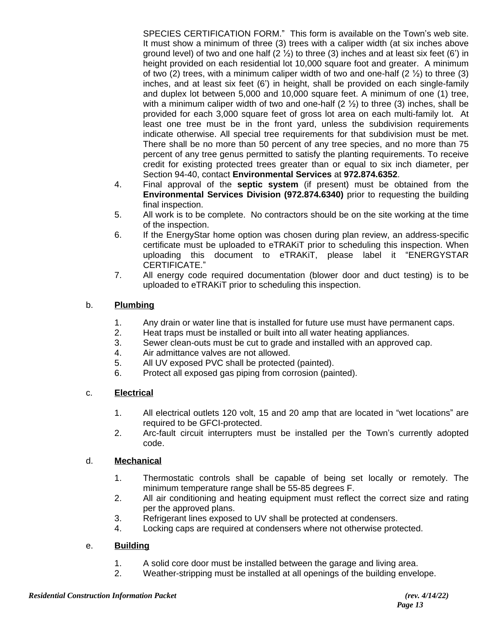SPECIES CERTIFICATION FORM." This form is available on the Town's web site. It must show a minimum of three (3) trees with a caliper width (at six inches above ground level) of two and one half  $(2 \frac{1}{2})$  to three  $(3)$  inches and at least six feet  $(6')$  in height provided on each residential lot 10,000 square foot and greater. A minimum of two (2) trees, with a minimum caliper width of two and one-half (2  $\frac{1}{2}$ ) to three (3) inches, and at least six feet (6') in height, shall be provided on each single-family and duplex lot between 5,000 and 10,000 square feet. A minimum of one (1) tree, with a minimum caliper width of two and one-half  $(2 \frac{1}{2})$  to three  $(3)$  inches, shall be provided for each 3,000 square feet of gross lot area on each multi-family lot. At least one tree must be in the front yard, unless the subdivision requirements indicate otherwise. All special tree requirements for that subdivision must be met. There shall be no more than 50 percent of any tree species, and no more than 75 percent of any tree genus permitted to satisfy the planting requirements. To receive credit for existing protected trees greater than or equal to six inch diameter, per Section 94-40, contact **Environmental Services** at **972.874.6352**.

- 4. Final approval of the **septic system** (if present) must be obtained from the **Environmental Services Division (972.874.6340)** prior to requesting the building final inspection.
- 5. All work is to be complete. No contractors should be on the site working at the time of the inspection.
- 6. If the EnergyStar home option was chosen during plan review, an address-specific certificate must be uploaded to eTRAKiT prior to scheduling this inspection. When uploading this document to eTRAKiT, please label it "ENERGYSTAR CERTIFICATE."
- 7. All energy code required documentation (blower door and duct testing) is to be uploaded to eTRAKiT prior to scheduling this inspection.

# b. **Plumbing**

- 1. Any drain or water line that is installed for future use must have permanent caps.
- 2. Heat traps must be installed or built into all water heating appliances.
- 3. Sewer clean-outs must be cut to grade and installed with an approved cap.
- 4. Air admittance valves are not allowed.
- 5. All UV exposed PVC shall be protected (painted).
- 6. Protect all exposed gas piping from corrosion (painted).

# c. **Electrical**

- 1. All electrical outlets 120 volt, 15 and 20 amp that are located in "wet locations" are required to be GFCI-protected.
- 2. Arc-fault circuit interrupters must be installed per the Town's currently adopted code.

#### d. **Mechanical**

- 1. Thermostatic controls shall be capable of being set locally or remotely. The minimum temperature range shall be 55-85 degrees F.
- 2. All air conditioning and heating equipment must reflect the correct size and rating per the approved plans.
- 3. Refrigerant lines exposed to UV shall be protected at condensers.
- 4. Locking caps are required at condensers where not otherwise protected.

# e. **Building**

- 1. A solid core door must be installed between the garage and living area.
- 2. Weather-stripping must be installed at all openings of the building envelope.